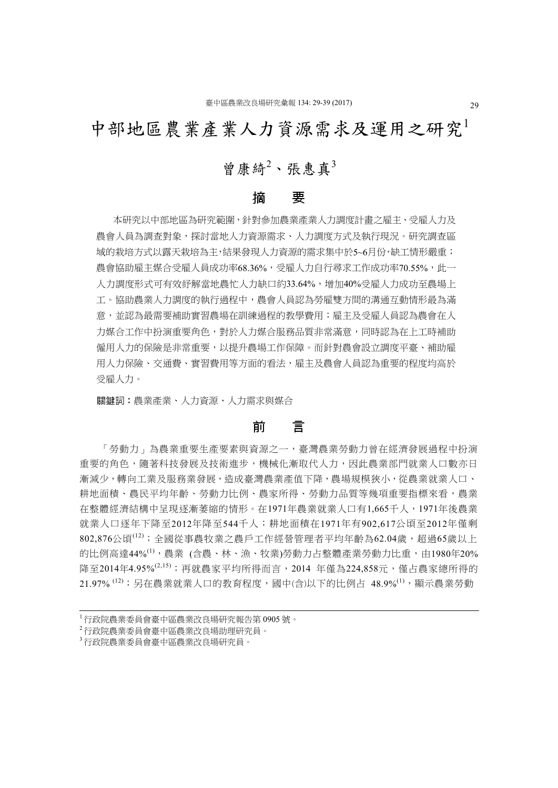# 中部地區農業產業人力資源需求及運用之研究<sup>1</sup>

# 曾康綺<sup>2</sup>、張惠真3

### 摘 要

本研究以中部地區為研究範圍,針對參加農業產業人力調度計畫之雇主、受雇人力及 農會人員為調查對象,探討當地人力資源需求、人力調度方式及執行現況。研究調查區 域的栽培方式以露天栽培為主,結果發現人力資源的需求集中於5~6月份,缺工情形嚴重; 農會協助雇主媒合受雇人員成功率68.36%,受雇人力自行尋求工作成功率70.55%,此一 人力調度形式可有效紓解當地農忙人力缺口約33.64%,增加40%受雇人力成功至農場上 工。協助農業人力調度的執行過程中,農會人員認為勞雇雙方間的溝通互動情形最為滿 意,並認為最需要補助實習農場在訓練過程的教學費用;雇主及受雇人員認為農會在人 力媒合工作中扮演重要角色,對於人力媒合服務品質非常滿意,同時認為在上工時補助 僱用人力的保險是非常重要,以提升農場工作保障。而針對農會設立調度平臺、補助雇 用人力保險、交通費、實習費用等方面的看法,雇主及農會人員認為重要的程度均高於 受雇人力。

關鍵詞:農業產業、人力資源、人力需求與媒合

# 前 言

「勞動力」為農業重要生產要素與資源之一,臺灣農業勞動力曾在經濟發展過程中扮演 重要的角色,隨著科技發展及技術進步,機械化漸取代人力,因此農業部門就業人口數亦日 漸減少,轉向工業及服務業發展,造成臺灣農業產值下降,農場規模狹小,從農業就業人口、 耕地面積、農民平均年齡、勞動力比例、農家所得、勞動力品質等幾項重要指標來看,農業 在整體經濟結構中呈現逐漸萎縮的情形。在1971年農業就業人口有1,665千人,1971年後農業 就業人口逐年下降至2012年降至544千人;耕地面積在1971年有902,617公頃至2012年僅剩  $802,876$ 公頃 $^{(12)}$ ;全國從事農牧業之農戶工作經營管理者平均年齡為62.04歲,超過65歲以上 的比例高達44%<sup>(1),</sup>農業(含農、林、漁、牧業)勞動力占整體產業勞動力比重,由1980年20% 降至2014年4.95%<sup>(2,15)</sup>;再就農家平均所得而言,2014 年僅為224,858元,僅占農家總所得的 21.97% <sup>(12)</sup>;另在農業就業人口的教育程度,國中(含)以下的比例占 48.9%<sup>(1)</sup>,顯示農業勞動

<sup>1</sup> 行政院農業委員會臺中區農業改良場研究報告第 0905 號。

<sup>2</sup> 行政院農業委員會臺中區農業改良場助理研究員。

<sup>3</sup> 行政院農業委員會臺中區農業改良場研究員。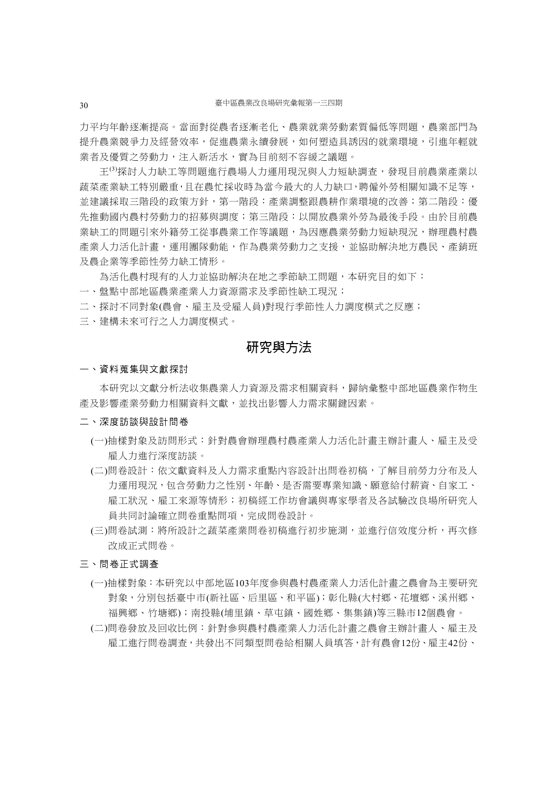力平均年齡逐漸提高。當面對從農者逐漸老化、農業就業勞動素質偏低等問題,農業部門為 提升農業競爭力及經營效率,促進農業永續發展,如何塑造具誘因的就業環境,引進年輕就 業者及優質之勞動力,注入新活水,實為目前刻不容緩之議題。

王(3)探討人力缺工等問題進行農場人力運用現況與人力短缺調查,發現目前農業產業以 蔬菜產業缺工特別嚴重,且在農忙採收時為當今最大的人力缺口,聘僱外勞相關知識不足等, 並建議採取三階段的政策方針,第一階段:產業調整跟農耕作業環境的改善;第二階段:優 先推動國內農村勞動力的招募與調度;第三階段:以開放農業外勞為最後手段。由於目前農 業缺工的問題引來外籍勞工從事農業工作等議題,為因應農業勞動力短缺現況,辦理農村農 產業人力活化計畫,運用團隊動能,作為農業勞動力之支援,並協助解決地方農民、產銷班 及農企業等季節性勞力缺工情形。

為活化農村現有的人力並協助解決在地之季節缺工問題,本研究目的如下:

一、盤點中部地區農業產業人力資源需求及季節性缺工現況;

二、探討不同對象(農會、雇主及受雇人員)對現行季節性人力調度模式之反應;

三、建構未來可行之人力調度模式。

# 研究與方法

#### 一、資料蒐集與文獻探討

本研究以文獻分析法收集農業人力資源及需求相關資料,歸納彙整中部地區農業作物生 產及影響產業勞動力相關資料文獻,並找出影響人力需求關鍵因素。

#### 二、深度訪談與設計問卷

- (一)抽樣對象及訪問形式:針對農會辦理農村農產業人力活化計畫主辦計畫人、雇主及受 雇人力進行深度訪談。
- (二)問卷設計:依文獻資料及人力需求重點內容設計出問卷初稿,了解目前勞力分布及人 力運用現況,包含勞動力之性別、年齡、是否需要專業知識、願意給付薪資、自家工、 雇工狀況、雇工來源等情形;初稿經工作坊會議與專家學者及各試驗改良場所研究人 員共同討論確立問卷重點問項,完成問卷設計。
- (三)問卷試測:將所設計之蔬菜產業問卷初稿進行初步施測,並進行信效度分析,再次修 改成正式問卷。

#### 三、問卷正式調查

- (一)抽樣對象:本研究以中部地區103年度參與農村農產業人力活化計畫之農會為主要研究 對象,分別包括臺中市(新社區、后里區、和平區);彰化縣(大村鄉、花壇鄉、溪州鄉、 福興鄉、竹塘鄉);南投縣(埔里鎮、草屯鎮、國姓鄉、集集鎮)等三縣市12個農會。
- (二)問卷發放及回收比例:針對參與農村農產業人力活化計畫之農會主辦計畫人、雇主及 雇工進行問卷調查,共發出不同類型問卷給相關人員填答,計有農會12份、雇主42份、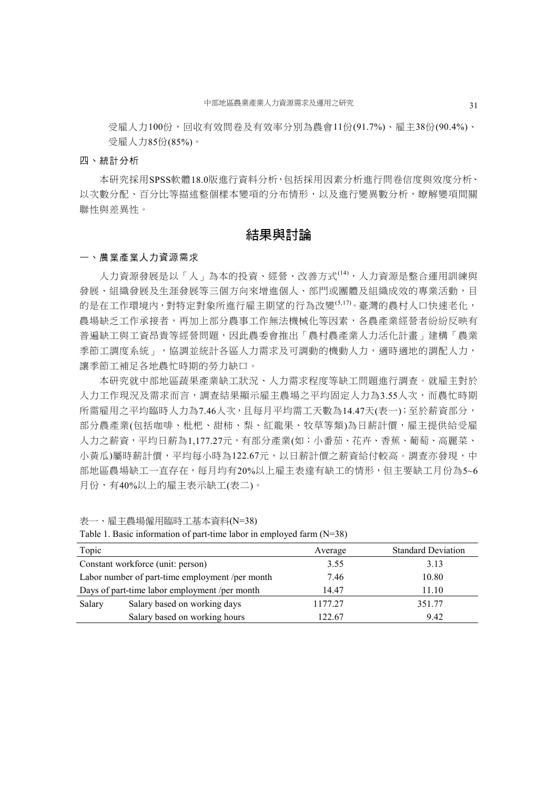受雇人力100份,回收有效問卷及有效率分別為農會11份(91.7%)、雇主38份(90.4%)、 受雇人力85份(85%)。

#### 四、統計分析

本研究採用SPSS軟體18.0版進行資料分析,包括採用因素分析進行問卷信度與效度分析、 以次數分配、百分比等描述整個樣本變項的分布情形,以及進行變異數分析,瞭解變項間關 聯性與差異性。

# 結果與討論

#### 一、農業產業人力資源需求

人力資源發展是以「人」為本的投資、經營、改善方式(14),人力資源是整合運用訓練與 發展、組織發展及生涯發展等三個方向來增進個人、部門或團體及組織成效的專業活動,目 的是在工作環境內,對特定對象所進行雇主期望的行為改變(5,17)。臺灣的農村人口快速老化, 農場缺乏工作承接者,再加上部分農事工作無法機械化等因素,各農產業經營者紛紛反映有 普遍缺工與工資昂貴等經營問題,因此農委會推出「農村農產業人力活化計畫」建構「農業 季節工調度系統」,協調並統計各區人力需求及可調動的機動人力,適時適地的調配人力, 讓季節工補足各地農忙時期的勞力缺口。

本研究就中部地區蔬果產業缺工狀況、人力需求程度等缺工問題進行調查。就雇主對於 人力工作現況及需求而言,調查結果顯示雇主農場之平均固定人力為3.55人次,而農忙時期 所需雇用之平均臨時人力為7.46人次,且每月平均需工天數為14.47天(表一);至於薪資部分, 部分農產業(包括咖啡、枇杷、甜柿、梨、紅龍果、牧草等類)為日薪計價,雇主提供給受雇 人力之薪資,平均日薪為1,177.27元,有部分產業(如:小番茄、花卉、香蕉、葡萄、高麗菜、 小黃瓜)屬時薪計價,平均每小時為122.67元,以日薪計價之薪資給付較高。調查亦發現,中 部地區農場缺工一直存在,每月均有20%以上雇主表達有缺工的情形,但主要缺工月份為5~6 月份,有40%以上的雇主表示缺工(表二)。

表一、雇主農場僱用臨時工基本資料(N=38)

| Topic                                         |                                                 | Average | <b>Standard Deviation</b> |
|-----------------------------------------------|-------------------------------------------------|---------|---------------------------|
| Constant workforce (unit: person)             |                                                 | 3.55    | 3.13                      |
|                                               | Labor number of part-time employment /per month | 7.46    | 10.80                     |
| Days of part-time labor employment /per month |                                                 | 14.47   | 11.10                     |
| Salary                                        | Salary based on working days                    | 1177.27 | 351.77                    |
|                                               | Salary based on working hours                   | 122.67  | 9.42                      |

Table 1. Basic information of part-time labor in employed farm (N=38)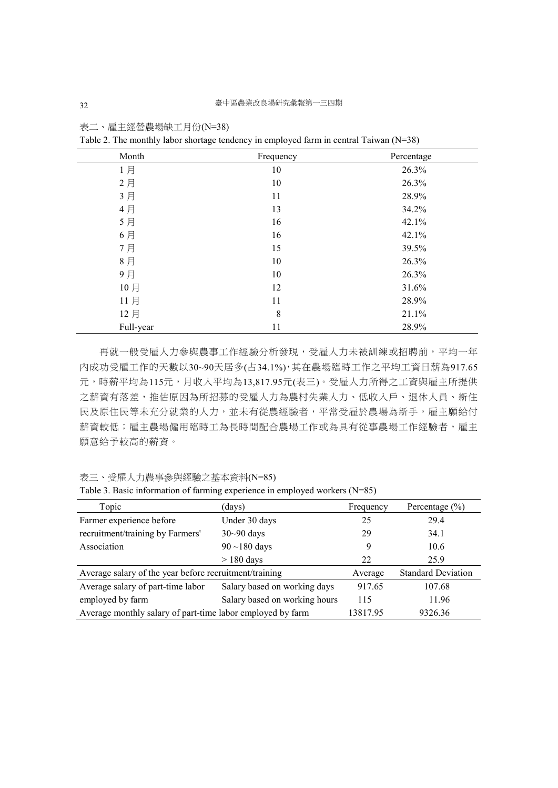| Month     | Frequency | Percentage |
|-----------|-----------|------------|
| 1月        | 10        | 26.3%      |
| 2月        | 10        | 26.3%      |
| 3月        | 11        | 28.9%      |
| 4月        | 13        | 34.2%      |
| 5月        | 16        | 42.1%      |
| 6月        | 16        | 42.1%      |
| 7月        | 15        | 39.5%      |
| 8月        | 10        | 26.3%      |
| 9月        | 10        | 26.3%      |
| 10月       | 12        | 31.6%      |
| 11月       | 11        | 28.9%      |
| 12月       | 8         | 21.1%      |
| Full-year | 11        | 28.9%      |

表二、雇主經營農場缺工月份(N=38)

Table 2. The monthly labor shortage tendency in employed farm in central Taiwan (N=38)

再就一般受雇人力參與農事工作經驗分析發現,受雇人力未被訓練或招聘前,平均一年 內成功受雇工作的天數以30~90天居多(占34.1%),其在農場臨時工作之平均工資日薪為917.65 元,時薪平均為115元,月收入平均為13,817.95元(表三)。受雇人力所得之工資與雇主所提供 之薪資有落差,推估原因為所招募的受雇人力為農村失業人力、低收入戶、退休人員、新住 民及原住民等未充分就業的人力,並未有從農經驗者,平常受雇於農場為新手,雇主願給付 薪資較低;雇主農場僱用臨時工為長時間配合農場工作或為具有從事農場工作經驗者,雇主 願意給予較高的薪資。

表三、受雇人力農事參與經驗之基本資料(N=85)

|  |  |  | Table 3. Basic information of farming experience in employed workers $(N=85)$ |  |  |  |
|--|--|--|-------------------------------------------------------------------------------|--|--|--|
|  |  |  |                                                                               |  |  |  |
|  |  |  |                                                                               |  |  |  |

| Topic                                                      | (days)                        | Frequency                 | Percentage $(\% )$ |
|------------------------------------------------------------|-------------------------------|---------------------------|--------------------|
| Farmer experience before                                   | Under 30 days                 | 25                        | 29.4               |
| recruitment/training by Farmers'                           | $30-90$ days                  | 29                        | 34.1               |
| Association                                                | $90 \sim 180$ days            | 9                         | 10.6               |
|                                                            | $> 180$ days                  | 22                        | 25.9               |
| Average salary of the year before recruitment/training     | Average                       | <b>Standard Deviation</b> |                    |
| Average salary of part-time labor                          | Salary based on working days  | 917.65                    | 107.68             |
| employed by farm                                           | Salary based on working hours | 115                       | 11.96              |
| Average monthly salary of part-time labor employed by farm | 13817.95                      | 9326.36                   |                    |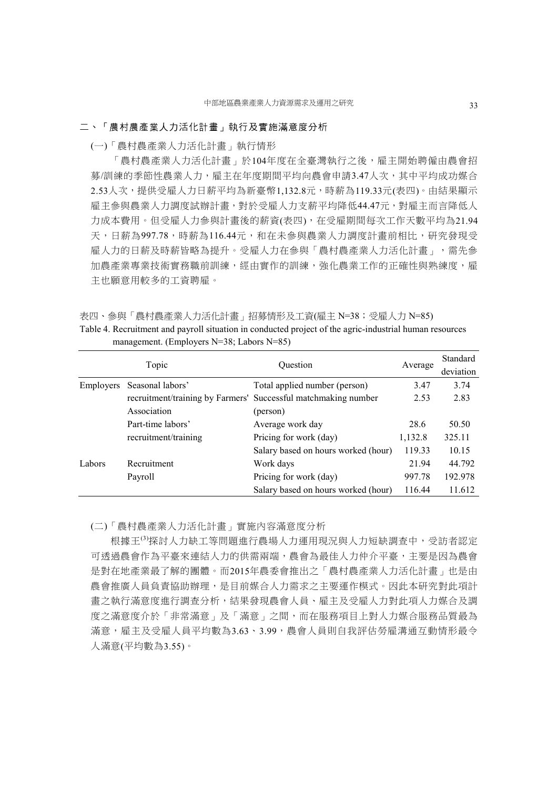#### 二、「農村農產業人力活化計畫」執行及實施滿意度分析

(一)「農村農產業人力活化計畫」執行情形

「農村農產業人力活化計畫」於104年度在全臺灣執行之後,雇主開始聘僱由農會招 募/訓練的季節性農業人力,雇主在年度期間平均向農會申請3.47人次,其中平均成功媒合 2.53人次,提供受雇人力日薪平均為新臺幣1,132.8元,時薪為119.33元(表四)。由結果顯示 雇主參與農業人力調度試辦計畫,對於受雇人力支薪平均降低44.47元,對雇主而言降低人 力成本費用。但受雇人力參與計畫後的薪資(表四),在受雇期間每次工作天數平均為21.94 天,日薪為997.78,時薪為116.44元,和在未參與農業人力調度計畫前相比,研究發現受 雇人力的日薪及時薪皆略為提升。受雇人力在參與「農村農產業人力活化計畫」,需先參 加農產業專業技術實務職前訓練,經由實作的訓練,強化農業工作的正確性與熟練度,雇 主也願意用較多的工資聘雇。

表四、參與「農村農產業人力活化計畫」招募情形及工資(雇主 N=38;受雇人力 N=85)

Table 4. Recruitment and payroll situation in conducted project of the agric-industrial human resources management. (Employers N=38; Labors N=85)

| Topic            |                      | Question                                                       |         | Standard  |  |
|------------------|----------------------|----------------------------------------------------------------|---------|-----------|--|
|                  |                      |                                                                | Average | deviation |  |
| <b>Employers</b> | Seasonal labors'     | Total applied number (person)                                  | 3.47    | 3.74      |  |
|                  |                      | recruitment/training by Farmers' Successful matchmaking number | 2.53    | 2.83      |  |
|                  | Association          | (person)                                                       |         |           |  |
|                  | Part-time labors'    | Average work day                                               | 28.6    | 50.50     |  |
|                  | recruitment/training | Pricing for work (day)                                         | 1,132.8 | 325.11    |  |
|                  |                      | Salary based on hours worked (hour)                            | 119.33  | 10.15     |  |
| Labors           | Recruitment          | Work days                                                      | 21.94   | 44.792    |  |
|                  | Payroll              | Pricing for work (day)                                         | 997.78  | 192.978   |  |
|                  |                      | Salary based on hours worked (hour)                            | 116.44  | 11.612    |  |

(二)「農村農產業人力活化計畫」實施內容滿意度分析

根據王<sup>(3)</sup>探討人力缺工等問題進行農場人力運用現況與人力短缺調查中,受訪者認定 可透過農會作為平臺來連結人力的供需兩端,農會為最佳人力仲介平臺,主要是因為農會 是對在地產業最了解的團體。而2015年農委會推出之「農村農產業人力活化計畫」也是由 農會推廣人員負責協助辦理,是目前媒合人力需求之主要運作模式。因此本研究對此項計 畫之執行滿意度進行調查分析,結果發現農會人員、雇主及受雇人力對此項人力媒合及調 度之滿意度介於「非常滿意」及「滿意」之間,而在服務項目上對人力媒合服務品質最為 滿意,雇主及受雇人員平均數為3.63、3.99,農會人員則自我評估勞雇溝通互動情形最令 人滿意(平均數為3.55)。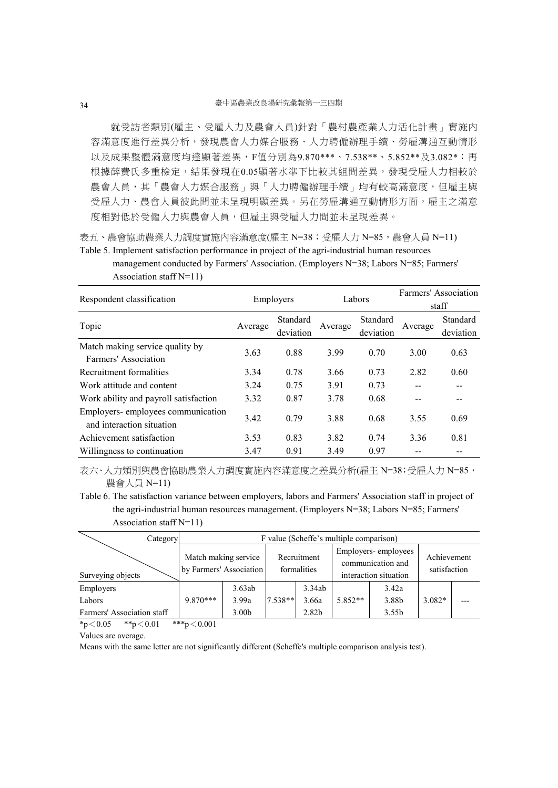就受訪者類別(雇主、受雇人力及農會人員)針對「農村農產業人力活化計畫」實施內 容滿意度進行差異分析,發現農會人力媒合服務、人力聘僱辦理手續、勞雇溝通互動情形 以及成果整體滿意度均達顯著差異,F值分別為9.870\*\*\*、7.538\*\*、5.852\*\*及3.082\*;再 根據薛費氏多重檢定,結果發現在0.05顯著水準下比較其組間差異,發現受雇人力相較於 農會人員,其「農會人力媒合服務」與「人力聘僱辦理手續」均有較高滿意度,但雇主與 受雇人力、農會人員彼此間並未呈現明顯差異。另在勞雇溝通互動情形方面,雇主之滿意 度相對低於受僱人力與農會人員,但雇主與受雇人力間並未呈現差異。

表五、農會協助農業人力調度實施內容滿意度(雇主 N=38;受雇人力 N=85,農會人員 N=11) Table 5. Implement satisfaction performance in project of the agri-industrial human resources

management conducted by Farmers' Association. (Employers N=38; Labors N=85; Farmers' Association staff N=11)

| Respondent classification                                      | Employers |           | Labors  |           | Farmers' Association |           |  |
|----------------------------------------------------------------|-----------|-----------|---------|-----------|----------------------|-----------|--|
|                                                                |           |           |         |           | staff                |           |  |
|                                                                |           | Standard  |         | Standard  |                      | Standard  |  |
| Topic                                                          | Average   | deviation | Average | deviation | Average              | deviation |  |
| Match making service quality by                                |           |           |         |           |                      |           |  |
| Farmers' Association                                           | 3.63      | 0.88      | 3.99    | 0.70      | 3.00                 | 0.63      |  |
| Recruitment formalities                                        | 3.34      | 0.78      | 3.66    | 0.73      | 2.82                 | 0.60      |  |
| Work attitude and content                                      | 3.24      | 0.75      | 3.91    | 0.73      | --                   |           |  |
| Work ability and payroll satisfaction                          | 3.32      | 0.87      | 3.78    | 0.68      |                      |           |  |
| Employers-employees communication<br>and interaction situation | 3.42      | 0.79      | 3.88    | 0.68      | 3.55                 | 0.69      |  |
| Achievement satisfaction                                       | 3.53      | 0.83      | 3.82    | 0.74      | 3.36                 | 0.81      |  |
| Willingness to continuation                                    | 3.47      | 0.91      | 3.49    | 0.97      |                      |           |  |

表六、人力類別與農會協助農業人力調度實施內容滿意度之差異分析(雇主 N=38;受雇人力 N=85, 農會人員 N=11)

Table 6. The satisfaction variance between employers, labors and Farmers' Association staff in project of the agri-industrial human resources management. (Employers N=38; Labors N=85; Farmers' Association staff N=11)

| Category                   |                                                 | F value (Scheffe's multiple comparison) |                            |        |                                                                   |                   |                             |  |
|----------------------------|-------------------------------------------------|-----------------------------------------|----------------------------|--------|-------------------------------------------------------------------|-------------------|-----------------------------|--|
| Surveying objects          | Match making service<br>by Farmers' Association |                                         | Recruitment<br>formalities |        | Employers-employees<br>communication and<br>interaction situation |                   | Achievement<br>satisfaction |  |
| Employers                  |                                                 | 3.63ab                                  |                            | 3.34ab |                                                                   | 3.42a             |                             |  |
| Labors                     | $9.870***$                                      | 3.99a                                   | 7.538**                    | 3.66a  | $5.852**$                                                         | 3.88b             | $3.082*$                    |  |
| Farmers' Association staff |                                                 | 3.00 <sub>b</sub>                       |                            | 2.82b  |                                                                   | 3.55 <sub>b</sub> |                             |  |

 $*p < 0.05$   $* p < 0.01$   $* * p < 0.001$ 

Values are average.

Means with the same letter are not significantly different (Scheffe's multiple comparison analysis test).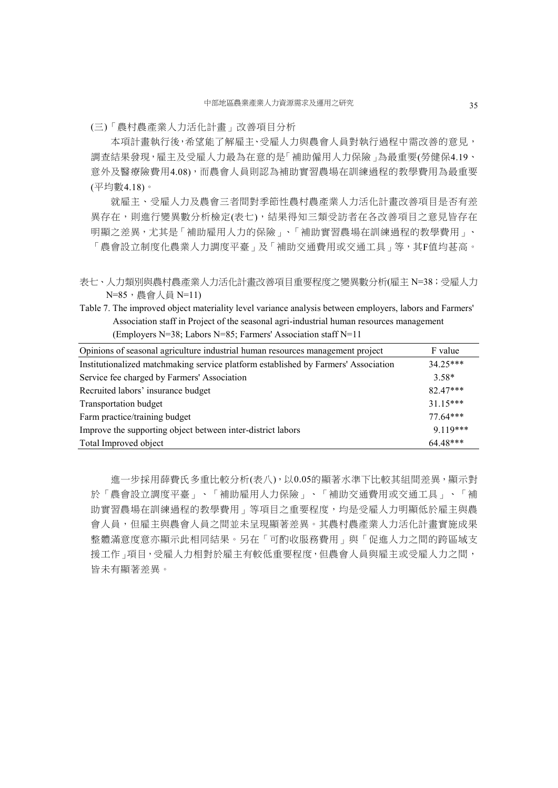(三)「農村農產業人力活化計畫」改善項目分析

本項計畫執行後,希望能了解雇主、受雇人力與農會人員對執行過程中需改善的意見, 調查結果發現,雇主及受雇人力最為在意的是「補助僱用人力保險」為最重要(勞健保4.19、 意外及醫療險費用4.08),而農會人員則認為補助實習農場在訓練過程的教學費用為最重要 (平均數4.18)。

就雇主、受雇人力及農會三者間對季節性農村農產業人力活化計畫改善項目是否有差 異存在,則進行變異數分析檢定(表七),結果得知三類受訪者在各改善項目之意見皆存在 明顯之差異,尤其是「補助雇用人力的保險」、「補助實習農場在訓練過程的教學費用」、 「農會設立制度化農業人力調度平臺」及「補助交通費用或交通工具」等,其F值均甚高。

表七、人力類別與農村農產業人力活化計畫改善項目重要程度之變異數分析(雇主 N=38;受雇人力 N=85,農會人員 N=11)

Table 7. The improved object materiality level variance analysis between employers, labors and Farmers' Association staff in Project of the seasonal agri-industrial human resources management (Employers N=38; Labors N=85; Farmers' Association staff N=11

| Opinions of seasonal agriculture industrial human resources management project     | F value    |
|------------------------------------------------------------------------------------|------------|
| Institutionalized matchmaking service platform established by Farmers' Association | $34.25***$ |
| Service fee charged by Farmers' Association                                        | $3.58*$    |
| Recruited labors' insurance budget                                                 | 82.47***   |
| Transportation budget                                                              | $31.15***$ |
| Farm practice/training budget                                                      | $77.64***$ |
| Improve the supporting object between inter-district labors                        | $9119***$  |
| Total Improved object                                                              | 64 48***   |

進一步採用薛費氏多重比較分析(表八),以0.05的顯著水準下比較其組間差異,顯示對 於「農會設立調度平臺」、「補助雇用人力保險」、「補助交通費用或交通工具」、「補 助實習農場在訓練過程的教學費用」等項目之重要程度,均是受雇人力明顯低於雇主與農 會人員,但雇主與農會人員之間並未呈現顯著差異。其農村農產業人力活化計畫實施成果 整體滿意度意亦顯示此相同結果。另在「可酌收服務費用」與「促進人力之間的跨區域支 援工作」項目,受雇人力相對於雇主有較低重要程度,但農會人員與雇主或受雇人力之間, 皆未有顯著差異。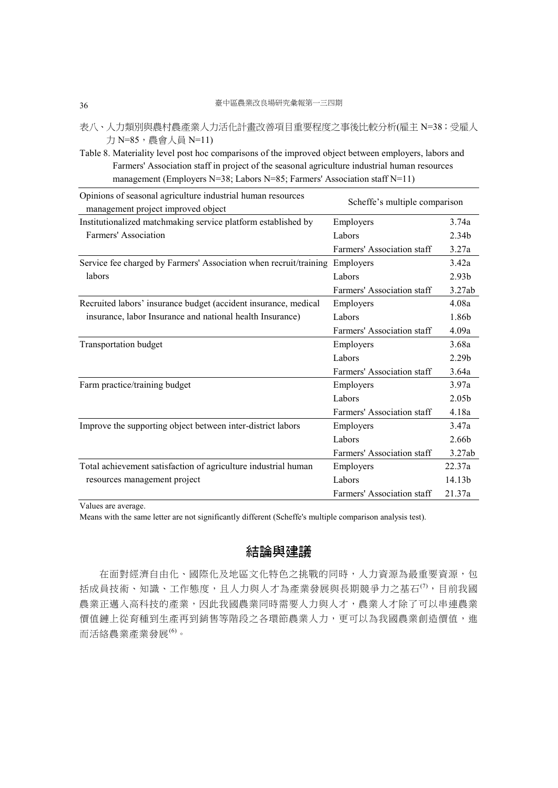- 表八、人力類別與農村農產業人力活化計畫改善項目重要程度之事後比較分析(雇主 N=38;受雇人 力 N=85, 農會人員 N=11)
- Table 8. Materiality level post hoc comparisons of the improved object between employers, labors and Farmers' Association staff in project of the seasonal agriculture industrial human resources management (Employers N=38; Labors N=85; Farmers' Association staff N=11)

| Opinions of seasonal agriculture industrial human resources                 | Scheffe's multiple comparison |                    |  |  |
|-----------------------------------------------------------------------------|-------------------------------|--------------------|--|--|
| management project improved object                                          |                               |                    |  |  |
| Institutionalized matchmaking service platform established by               | Employers                     | 3.74a              |  |  |
| Farmers' Association                                                        | Labors                        | 2.34 <sub>b</sub>  |  |  |
|                                                                             | Farmers' Association staff    | 3.27a              |  |  |
| Service fee charged by Farmers' Association when recruit/training Employers |                               | 3.42a              |  |  |
| labors                                                                      | Labors                        | 2.93 <sub>b</sub>  |  |  |
|                                                                             | Farmers' Association staff    | 3.27ab             |  |  |
| Recruited labors' insurance budget (accident insurance, medical             | Employers                     | 4.08a              |  |  |
| insurance, labor Insurance and national health Insurance)                   | Labors                        | 1.86b              |  |  |
|                                                                             | Farmers' Association staff    | 4.09a              |  |  |
| <b>Transportation budget</b>                                                | Employers                     | 3.68a              |  |  |
|                                                                             | Labors                        | 2.29 <sub>b</sub>  |  |  |
|                                                                             | Farmers' Association staff    | 3.64a              |  |  |
| Farm practice/training budget                                               | Employers                     | 3.97a              |  |  |
|                                                                             | Labors                        | 2.05 <sub>b</sub>  |  |  |
|                                                                             | Farmers' Association staff    | 4.18a              |  |  |
| Improve the supporting object between inter-district labors                 | Employers                     | 3.47a              |  |  |
|                                                                             | Labors                        | 2.66b              |  |  |
|                                                                             | Farmers' Association staff    | 3.27ab             |  |  |
| Total achievement satisfaction of agriculture industrial human              | Employers                     | 22.37a             |  |  |
| resources management project                                                | Labors                        | 14.13 <sub>b</sub> |  |  |
|                                                                             | Farmers' Association staff    | 21.37a             |  |  |

Values are average.

Means with the same letter are not significantly different (Scheffe's multiple comparison analysis test).

# 結論與建議

在面對經濟自由化、國際化及地區文化特色之挑戰的同時,人力資源為最重要資源,包 括成員技術、知識、工作態度,且人力與人才為產業發展與長期競爭力之基石<sup>(7)</sup>,目前我國 農業正邁入高科技的產業,因此我國農業同時需要人力與人才,農業人才除了可以串連農業 價值鏈上從育種到生產再到銷售等階段之各環節農業人力,更可以為我國農業創造價值,進 而活絡農業產業發展(6)。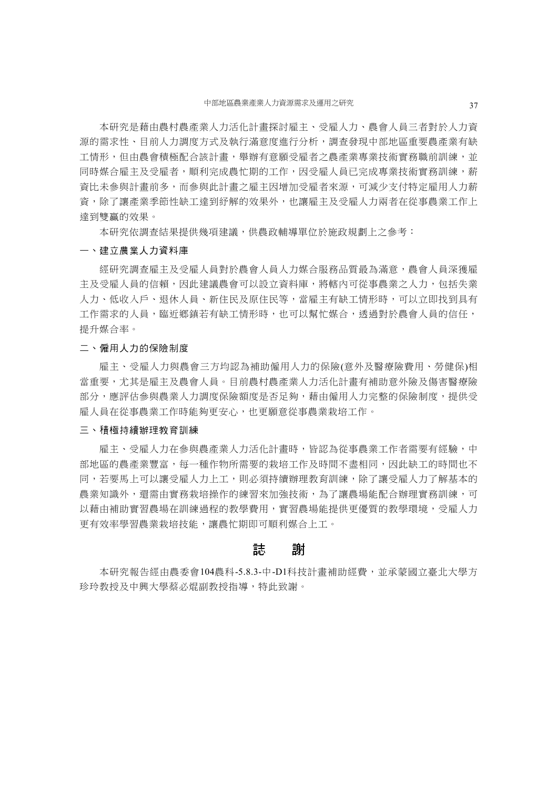本研究是藉由農村農產業人力活化計畫探討雇主、受雇人力、農會人員三者對於人力資 源的需求性、目前人力調度方式及執行滿意度進行分析,調查發現中部地區重要農產業有缺 工情形,但由農會積極配合該計畫,舉辦有意願受雇者之農產業專業技術實務職前訓練,並 同時媒合雇主及受雇者,順利完成農忙期的工作,因受雇人員已完成專業技術實務訓練,薪 資比未參與計畫前多,而參與此計畫之雇主因增加受雇者來源,可減少支付特定雇用人力薪 資,除了讓產業季節性缺工達到紓解的效果外,也讓雇主及受雇人力兩者在從事農業工作上 達到雙贏的效果。

本研究依調查結果提供幾項建議,供農政輔導單位於施政規劃上之參考:

#### 一、建立農業人力資料庫

經研究調查雇主及受雇人員對於農會人員人力媒合服務品質最為滿意,農會人員深獲雇 主及受雇人員的信賴,因此建議農會可以設立資料庫,將轄內可從事農業之人力,包括失業 人力、低收入戶、退休人員、新住民及原住民等,當雇主有缺工情形時,可以立即找到具有 工作需求的人員,臨近鄉鎮若有缺工情形時,也可以幫忙媒合,透過對於農會人員的信任, 提升媒合率。

#### 二、僱用人力的保險制度

雇主、受雇人力與農會三方均認為補助僱用人力的保險(意外及醫療險費用、勞健保)相 當重要,尤其是雇主及農會人員。目前農村農產業人力活化計畫有補助意外險及傷害醫療險 部分,應評估參與農業人力調度保險額度是否足夠,藉由僱用人力完整的保險制度,提供受 雇人員在從事農業工作時能夠更安心,也更願意從事農業栽培工作。

#### 三、積極持續辦理教育訓練

雇主、受雇人力在參與農產業人力活化計畫時,皆認為從事農業工作者需要有經驗,中 部地區的農產業豐富,每一種作物所需要的栽培工作及時間不盡相同,因此缺工的時間也不 同,若要馬上可以讓受雇人力上工,則必須持續辦理教育訓練,除了讓受雇人力了解基本的 農業知識外,還需由實務栽培操作的練習來加強技術,為了讓農場能配合辦理實務訓練,可 以藉由補助實習農場在訓練過程的教學費用,實習農場能提供更優質的教學環境,受雇人力 更有效率學習農業栽培技能,讓農忙期即可順利媒合上工。

### 誌 謝

本研究報告經由農委會104農科-5.8.3-中-D1科技計畫補助經費,並承蒙國立臺北大學方 珍玲教授及中興大學蔡必焜副教授指導,特此致謝。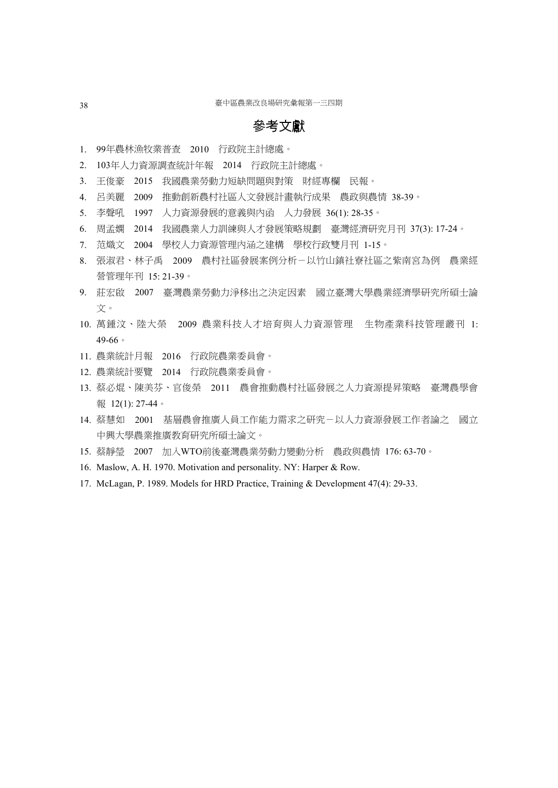# 參考文獻

- 1. 99年農林漁牧業普查 2010 行政院主計總處。
- 2. 103年人力資源調查統計年報 2014 行政院主計總處。
- 3. 王俊豪 2015 我國農業勞動力短缺問題與對策 財經專欄 民報。
- 4. 呂美麗 2009 推動創新農村社區人文發展計畫執行成果 農政與農情 38-39。
- 5. 李聲吼 1997 人力資源發展的意義與內函 人力發展 36(1): 28-35。
- 6. 周孟嫻 2014 我國農業人力訓練與人才發展策略規劃 臺灣經濟研究月刊 37(3): 17-24。
- 7. 范熾文 2004 學校人力資源管理內涵之建構 學校行政雙月刊 1-15。
- 8. 張淑君、林子禹 2009 農村社區發展案例分析-以竹山鎮社寮社區之紫南宮為例 農業經 營管理年刊 15: 21-39。
- 9. 莊宏啟 2007 臺灣農業勞動力淨移出之決定因素 國立臺灣大學農業經濟學研究所碩士論 文。
- 10. 萬鍾汶、陸大榮 2009 農業科技人才培育與人力資源管理 生物產業科技管理叢刊 1: 49-66。
- 11. 農業統計月報 2016 行政院農業委員會。
- 12. 農業統計要覽 2014 行政院農業委員會。
- 13. 蔡必焜、陳美芬、官俊榮 2011 農會推動農村社區發展之人力資源提昇策略 臺灣農學會 報 12(1): 27-44。
- 14. 蔡慧如 2001 基層農會推廣人員工作能力需求之研究-以人力資源發展工作者論之 國立 中興大學農業推廣教育研究所碩士論文。
- 15. 蔡靜瑩 2007 加入WTO前後臺灣農業勞動力變動分析 農政與農情 176: 63-70。
- 16. Maslow, A. H. 1970. Motivation and personality. NY: Harper & Row.
- 17. McLagan, P. 1989. Models for HRD Practice, Training & Development 47(4): 29-33.